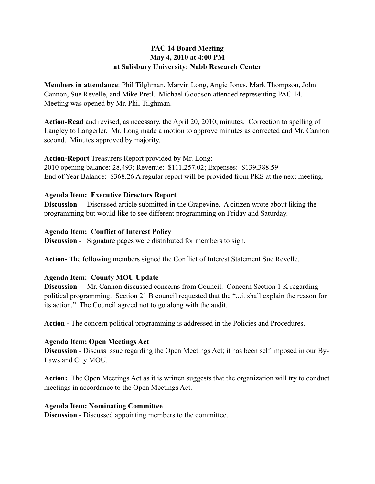## **PAC 14 Board Meeting May 4, 2010 at 4:00 PM at Salisbury University: Nabb Research Center**

**Members in attendance**: Phil Tilghman, Marvin Long, Angie Jones, Mark Thompson, John Cannon, Sue Revelle, and Mike Pretl. Michael Goodson attended representing PAC 14. Meeting was opened by Mr. Phil Tilghman.

**Action-Read** and revised, as necessary, the April 20, 2010, minutes. Correction to spelling of Langley to Langerler. Mr. Long made a motion to approve minutes as corrected and Mr. Cannon second. Minutes approved by majority.

**Action-Report** Treasurers Report provided by Mr. Long: 2010 opening balance: 28,493; Revenue: \$111,257.02; Expenses: \$139,388.59 End of Year Balance: \$368.26 A regular report will be provided from PKS at the next meeting.

## **Agenda Item: Executive Directors Report**

**Discussion** - Discussed article submitted in the Grapevine. A citizen wrote about liking the programming but would like to see different programming on Friday and Saturday.

## **Agenda Item: Conflict of Interest Policy**

**Discussion** - Signature pages were distributed for members to sign.

**Action-** The following members signed the Conflict of Interest Statement Sue Revelle.

# **Agenda Item: County MOU Update**

**Discussion** - Mr. Cannon discussed concerns from Council. Concern Section 1 K regarding political programming. Section 21 B council requested that the "...it shall explain the reason for its action." The Council agreed not to go along with the audit.

**Action -** The concern political programming is addressed in the Policies and Procedures.

### **Agenda Item: Open Meetings Act**

**Discussion** - Discuss issue regarding the Open Meetings Act; it has been self imposed in our By-Laws and City MOU.

**Action:** The Open Meetings Act as it is written suggests that the organization will try to conduct meetings in accordance to the Open Meetings Act.

### **Agenda Item: Nominating Committee**

**Discussion** - Discussed appointing members to the committee.